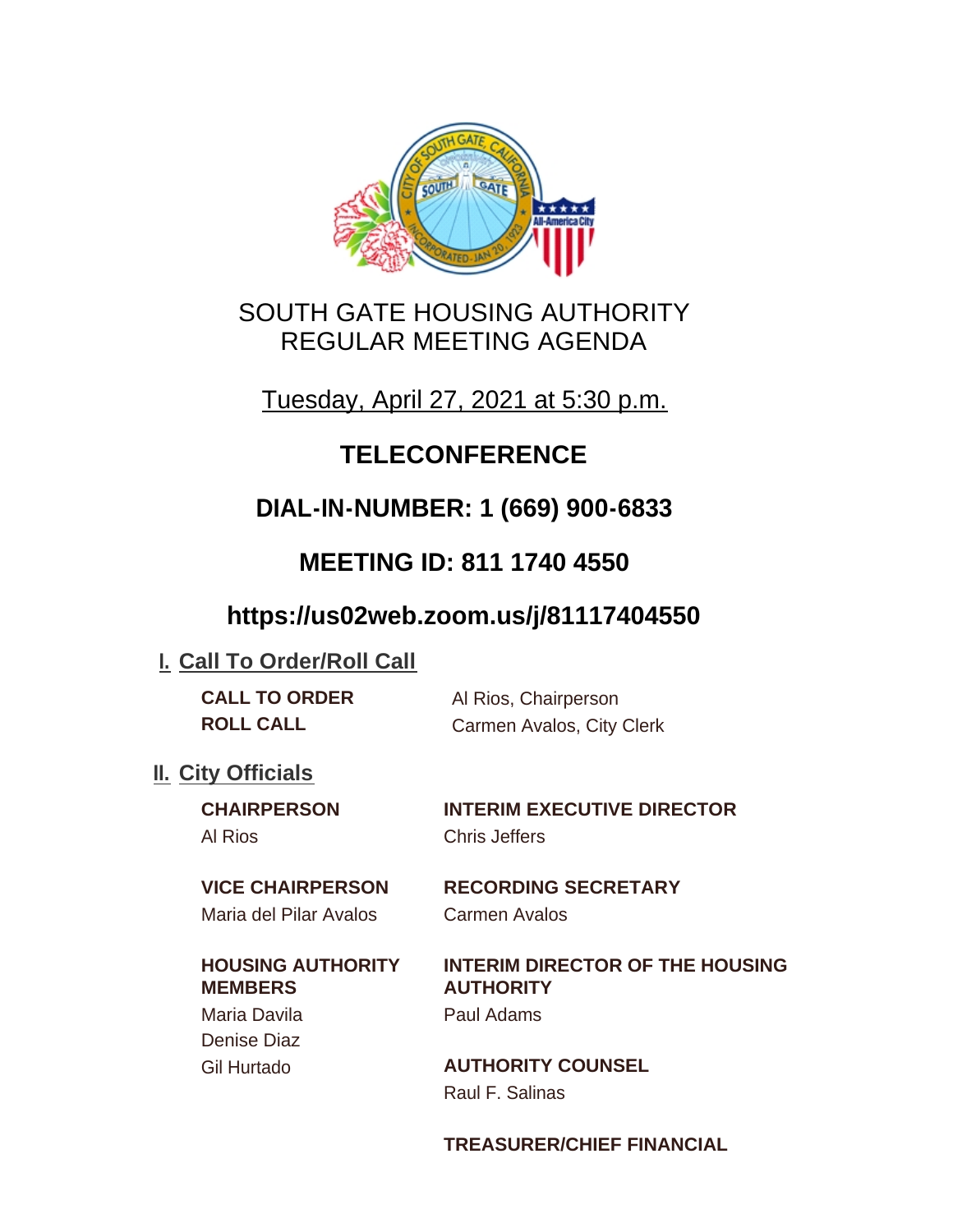

# SOUTH GATE HOUSING AUTHORITY REGULAR MEETING AGENDA

Tuesday, April 27, 2021 at 5:30 p.m.

# **TELECONFERENCE**

# **DIAL-IN-NUMBER: 1 (669) 900-6833**

# **MEETING ID: 811 1740 4550**

# **https://us02web.zoom.us/j/81117404550**

# **I. Call To Order/Roll Call**

| <b>CALL TO ORDER</b> | Al Rios, Chairperson      |
|----------------------|---------------------------|
| <b>ROLL CALL</b>     | Carmen Avalos, City Clerk |

## **II.** City Officials

Al Rios Chris Jeffers

**CHAIRPERSON INTERIM EXECUTIVE DIRECTOR**

Maria del Pilar Avalos Carmen Avalos

# **HOUSING AUTHORITY**

**MEMBERS** Maria Davila Paul Adams Denise Diaz

# **VICE CHAIRPERSON RECORDING SECRETARY**

# **INTERIM DIRECTOR OF THE HOUSING AUTHORITY**

Gil Hurtado **AUTHORITY COUNSEL** Raul F. Salinas

## **TREASURER/CHIEF FINANCIAL**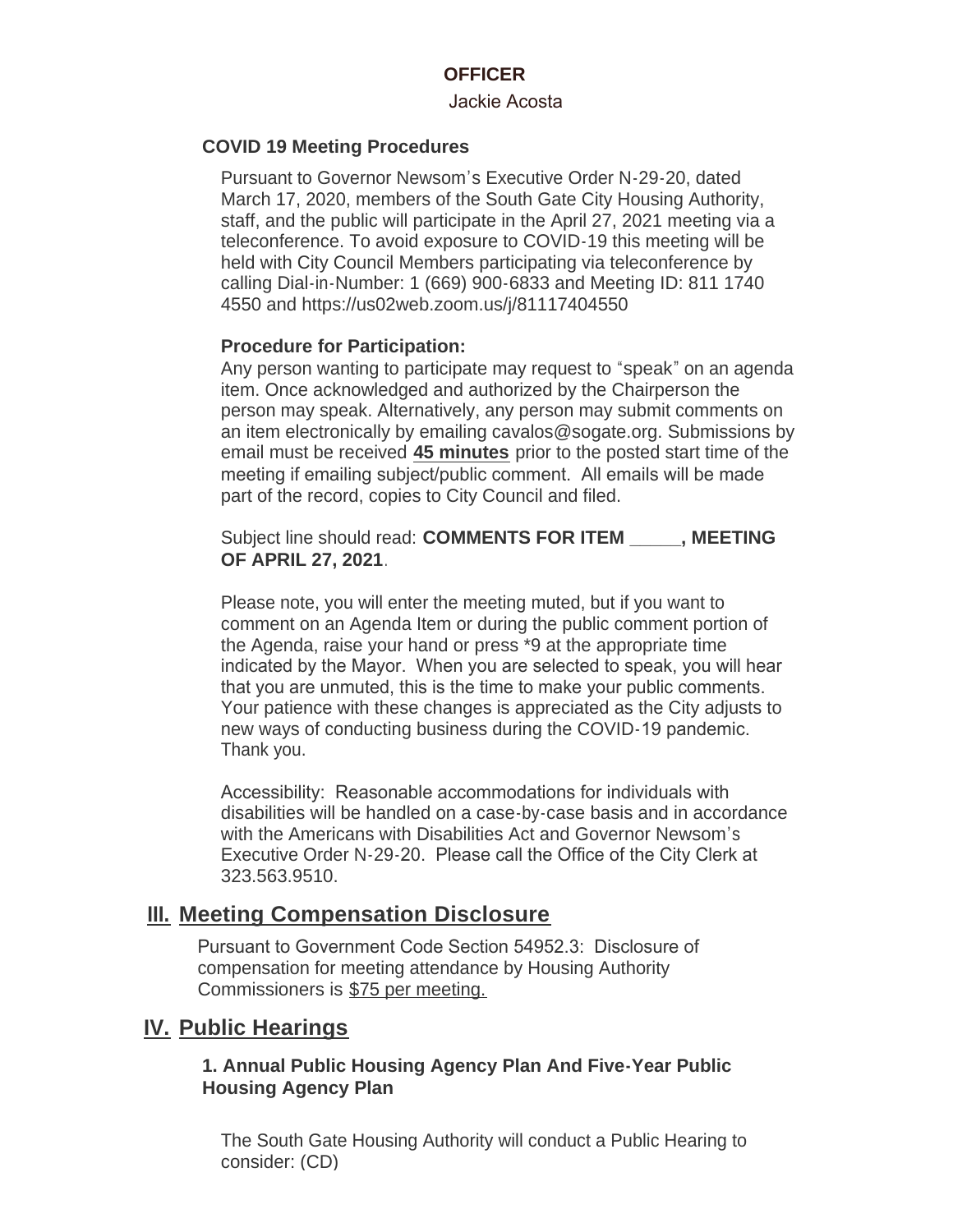#### **OFFICER**

#### Jackie Acosta

#### **COVID 19 Meeting Procedures**

Pursuant to Governor Newsom's Executive Order N-29-20, dated March 17, 2020, members of the South Gate City Housing Authority, staff, and the public will participate in the April 27, 2021 meeting via a teleconference. To avoid exposure to COVID-19 this meeting will be held with City Council Members participating via teleconference by calling Dial-in-Number: 1 (669) 900-6833 and Meeting ID: 811 1740 4550 and https://us02web.zoom.us/j/81117404550

#### **Procedure for Participation:**

Any person wanting to participate may request to "speak" on an agenda item. Once acknowledged and authorized by the Chairperson the person may speak. Alternatively, any person may submit comments on an item electronically by emailing cavalos@sogate.org. Submissions by email must be received **45 minutes** prior to the posted start time of the meeting if emailing subject/public comment. All emails will be made part of the record, copies to City Council and filed.

Subject line should read: **COMMENTS FOR ITEM \_\_\_\_\_, MEETING OF APRIL 27, 2021**.

Please note, you will enter the meeting muted, but if you want to comment on an Agenda Item or during the public comment portion of the Agenda, raise your hand or press \*9 at the appropriate time indicated by the Mayor. When you are selected to speak, you will hear that you are unmuted, this is the time to make your public comments. Your patience with these changes is appreciated as the City adjusts to new ways of conducting business during the COVID-19 pandemic. Thank you.

Accessibility: Reasonable accommodations for individuals with disabilities will be handled on a case-by-case basis and in accordance with the Americans with Disabilities Act and Governor Newsom's Executive Order N-29-20. Please call the Office of the City Clerk at 323.563.9510.

### **Meeting Compensation Disclosure III.**

Pursuant to Government Code Section 54952.3: Disclosure of compensation for meeting attendance by Housing Authority Commissioners is \$75 per meeting.

#### **IV. Public Hearings**

#### **1. Annual Public Housing Agency Plan And Five-Year Public Housing Agency Plan**

The South Gate Housing Authority will conduct a Public Hearing to consider: (CD)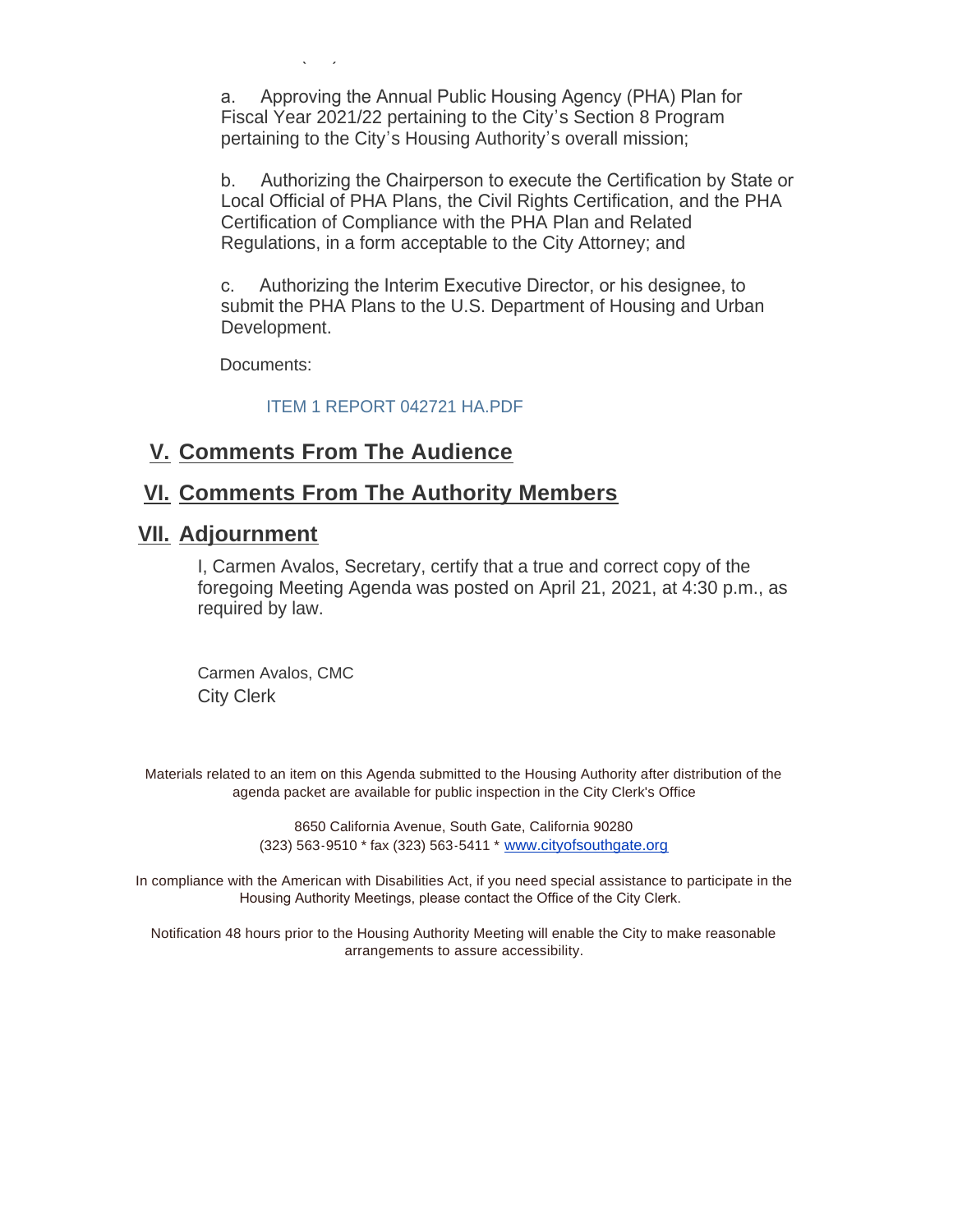a. Approving the Annual Public Housing Agency (PHA) Plan for Fiscal Year 2021/22 pertaining to the City's Section 8 Program pertaining to the City's Housing Authority's overall mission;

b. Authorizing the Chairperson to execute the Certification by State or Local Official of PHA Plans, the Civil Rights Certification, and the PHA Certification of Compliance with the PHA Plan and Related Regulations, in a form acceptable to the City Attorney; and

c. Authorizing the Interim Executive Director, or his designee, to submit the PHA Plans to the U.S. Department of Housing and Urban Development.

Documents:

 $\ddotsc$ 

#### ITEM 1 REPORT 042721 HA.PDF

## **Comments From The Audience V.**

## **Comments From The Authority Members VI.**

### **Adjournment VII.**

I, Carmen Avalos, Secretary, certify that a true and correct copy of the foregoing Meeting Agenda was posted on April 21, 2021, at 4:30 p.m., as required by law.

Carmen Avalos, CMC City Clerk

Materials related to an item on this Agenda submitted to the Housing Authority after distribution of the agenda packet are available for public inspection in the City Clerk's Office

> 8650 California Avenue, South Gate, California 90280 (323) 563-9510 \* fax (323) 563-5411 \* [www.cityofsouthgate.org](http://www.cityofsouthgate.org/)

In compliance with the American with Disabilities Act, if you need special assistance to participate in the Housing Authority Meetings, please contact the Office of the City Clerk.

Notification 48 hours prior to the Housing Authority Meeting will enable the City to make reasonable arrangements to assure accessibility.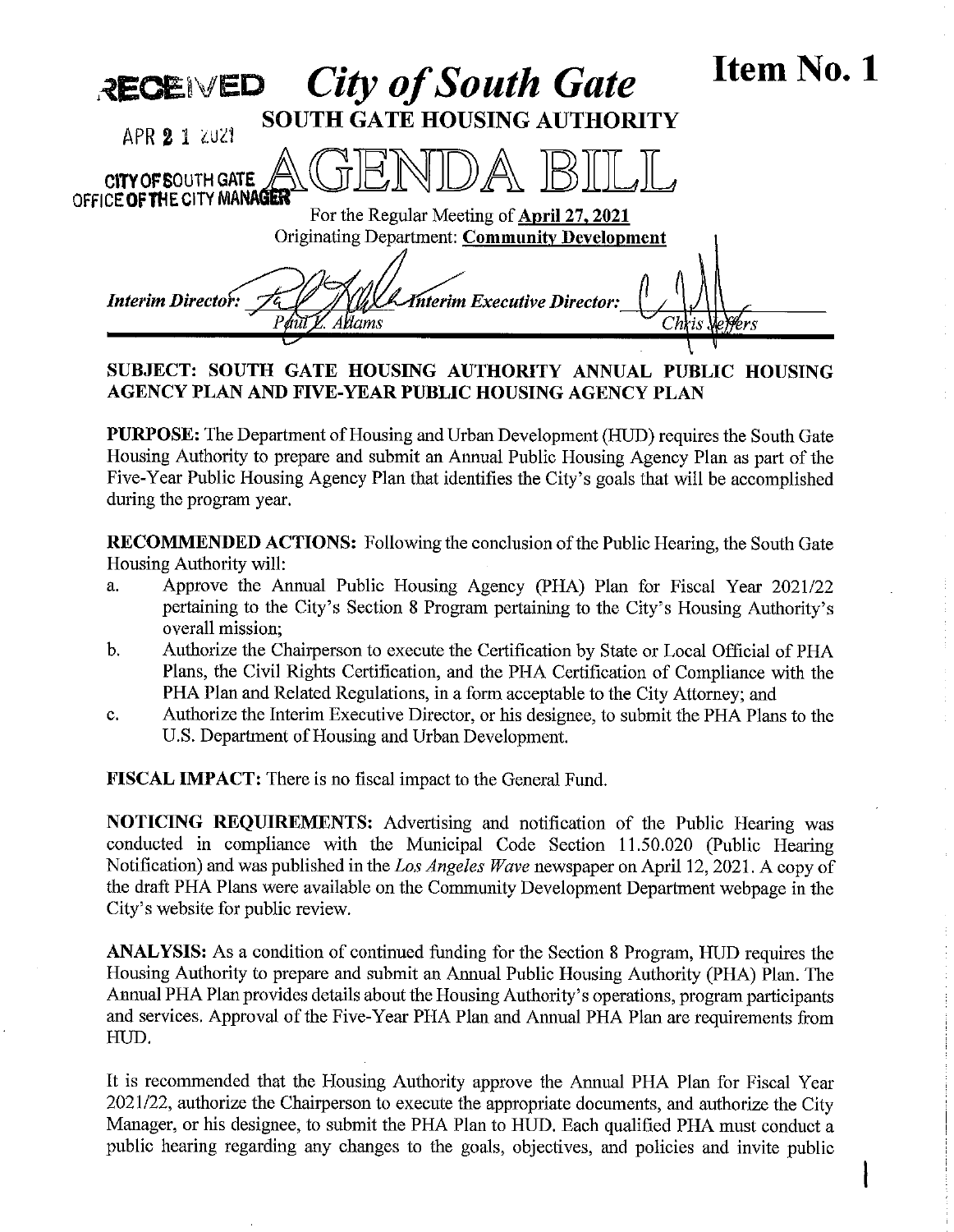| <b>City of South Gate</b><br>RECEIVED                                                             | Item No. 1 |
|---------------------------------------------------------------------------------------------------|------------|
| <b>SOUTH GATE HOUSING AUTHORITY</b><br>APR 2 1 2021                                               |            |
| CITY OF SOUTH GATE AND CITY OF SOUTH GATE                                                         |            |
| For the Regular Meeting of April 27, 2021<br><b>Originating Department: Community Development</b> |            |
| <b>Interim Executive Director:</b><br><b>Interim Director:</b><br>Wams                            |            |
|                                                                                                   |            |

SUBJECT: SOUTH GATE HOUSING AUTHORITY ANNUAL PUBLIC HOUSING AGENCY PLAN AND FIVE-YEAR PUBLIC HOUSING AGENCY PLAN

PURPOSE: The Department of Housing and Urban Development (HUD) requires the South Gate Housing Authority to prepare and submit an Annual Public Housing Agency Plan as part of the Five-Year Public Housing Agency Plan that identifies the City's goals that will be accomplished during the program year.

RECOMMENDED ACTIONS: Following the conclusion of the Public Hearing, the South Gate Housing Authority will:

- a. Approve the Annual Public Housing Agency (PHA) Plan for Fiscal Year 2021/22 pertaining to the City's Section 8 Program pertaining to the City's Housing Authority's overall mission;
- b. Authorize the Chairperson to execute the Certification by State or Local Official of PHA Plans, the Civil Rights Certification, and the PHA Certification of Compliance with the PHA Plan and Related Regulations, in a form acceptable to the City Attorney; and
- c. Authorize the Interim Executive Director, or his designee, to submit the PHA Plans to the U.S. Department of Housing and Urban Development.

FISCAL IMPACT: There is no fiscal impact to the General Fund.

NOTICING REQUIREMENTS: Advertising and notification of the Public Hearing was conducted in compliance with the Municipal Code Section 11.50.020 (Public Hearing Notification) and was published in the Los Angeles Wave newspaper on April 12, 2021. A copy of the draft PHA Plans were available on the Community Development Department webpage in the City's website for public review.

ANALYSIS: As a condition of continued funding for the Section 8 Program, HUD requires the Housing Authority to prepare and submit an Annual Public Housing Authority (PHA) Plan. The Annual PHA Plan provides details about the Housing Authority's operations, program participants and services. Approval of the Five-Year PHA Plan and Annual PHA Plan are requirements from HUD.

It is recommended that the Housing Authority approve the Annual PHA Plan for Fiscal Year 2021/22, authorize the Chairperson to execute the appropriate documents, and authorize the City Manager, or his designee, to submit the PHA Plan to HUD. Each qualified PHA must conduct a public hearing regarding any changes to the goals, objectives, and policies and invite public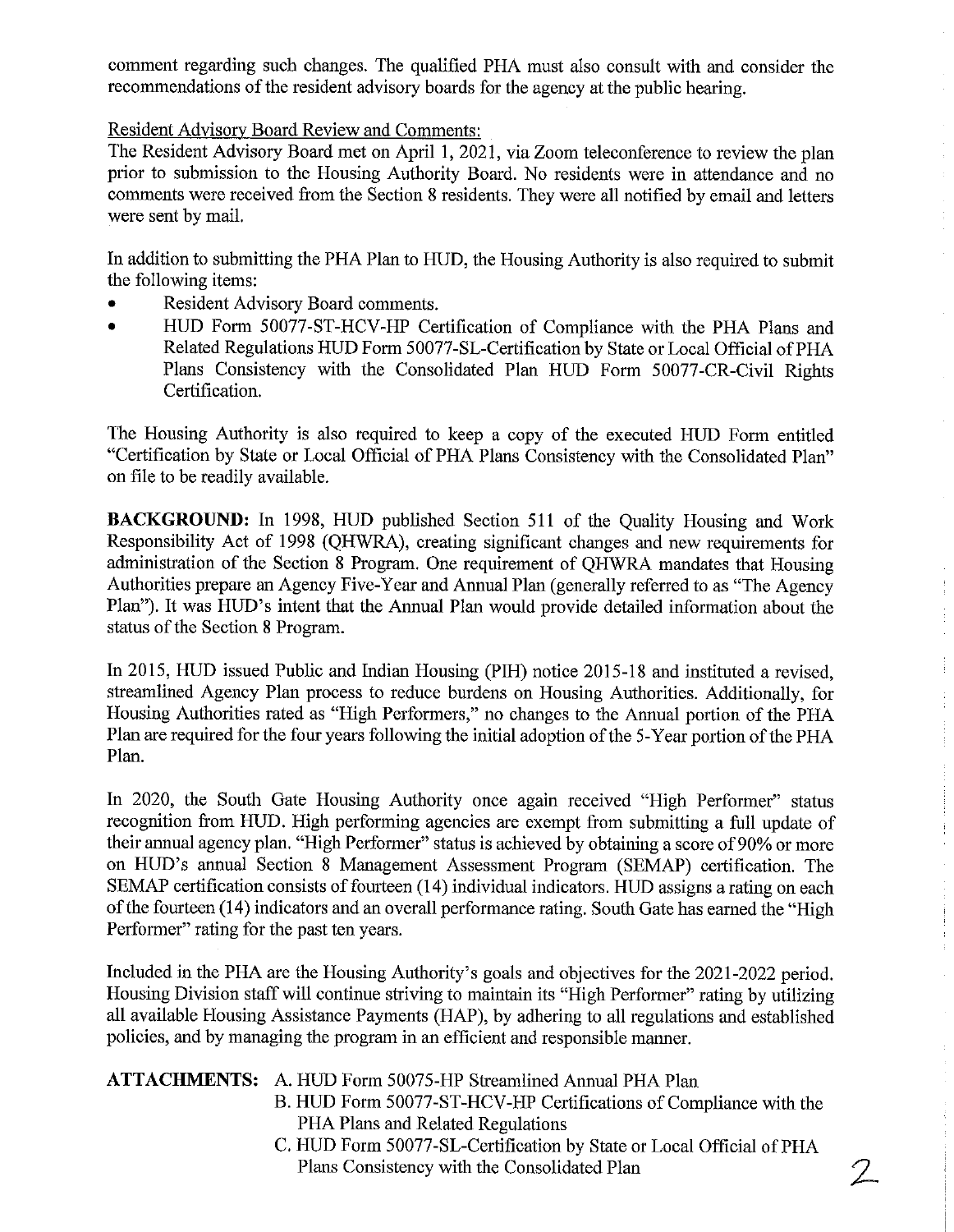comment regarding such changes. The qualified PHA must also consult with and consider the recommendations of the resident advisory boards for the agency at the public hearing.

Resident Advisory Board Review and Comments:

The Resident Advisory Board met on April 1, 2021, via Zoom teleconference to review the plan prior to submission to the Housing Authority Board. No residents were in attendance and no comments were received from the Section 8 residents. They were all notified by email and letters were sent by mail.

In addition to submitting the PHA Plan to HUD, the Housing Authority is also required to submit the following items:

- Resident Advisory Board comments.
- \* HUD Form 50077-ST-HCV-HP Certification of Compliance with the PHA Plans and Related Regulations HUD Form 50077-SL-Certification by State or Local Official of PHA Plans Consistency with the Consolidated Plan HUD Form 50077-CR-Civil Rights Certification.

The Housing Authority is also required to keep a copy of the executed HUD Form entitled "Certification by State or Local Official of PHA Plans Consistency with the Consolidated Plan" on file to be readily available.

BACKGROUND: In 1998, HUD published Section 511 of the Quality Housing and Work Responsibility Act of 1998 (QHWRA), creating significant changes and new requirements for administration of the Section 8 Program. One requirement of QHWRA mandates that Housing Authorities prepare an Agency Five-Year and Annual Plan (generally referred to as "The Agency Plan"). It was HUD's intent that the Annual Plan would provide detailed information about the status of the Section 8 Program.

In 2015, HUD issued Public and Indian Housing (PIH) notice 2015-18 and instituted a revised, streamlined Agency Plan process to reduce burdens on Housing Authorities. Additionally, for Housing Authorities rated as "High Performers," no changes to the Annual portion of the PHA Plan are required for the four years following the initial adoption of the 5-Year portion of the PHA Plan.

In 2020, the South Gate Housing Authority once again received "High Performer" status recognition from HUD. High performing agencies are exempt from submitting a full update of their annual agency plan. "High Performer" status is achieved by obtaining a score of 90% or more on HUD's annual Section 8 Management Assessment Program (SEMAP) certification. The SEMAP certification consists of fourteen (14) individual indicators. HUD assigns a rating on each of the fourteen (14) indicators and an overall performance rating. South Gate has earned the "High Performer" rating for the past ten years.

Included in the PHA are the Housing Authority's goals and objectives for the 2021-2022 period. Housing Division staff will continue striving to maintain its "High Performer" rating by utilizing all available Housing Assistance Payments (HAP), by adhering to all regulations and established policies, and by managing the program in an efficient and responsible manner.

| <b>ATTACHMENTS:</b> A. HUD Form 50075-HP Streamlined Annual PHA Plan |  |  |  |  |  |  |  |  |
|----------------------------------------------------------------------|--|--|--|--|--|--|--|--|
|----------------------------------------------------------------------|--|--|--|--|--|--|--|--|

- B. HUD Form 50077-ST-HCV-HP Certifications of Compliance with the PHA Plans and Related Regulations
- C. HUD Form 50077-SL-Certification by State or Local Official of PHA Plans Consistency with the Consolidated Plan 2

 $\frac{1}{2}$ 

 $\begin{array}{c} \vdots \\ \vdots \\ \vdots \\ \vdots \end{array}$ 

 $\cdot$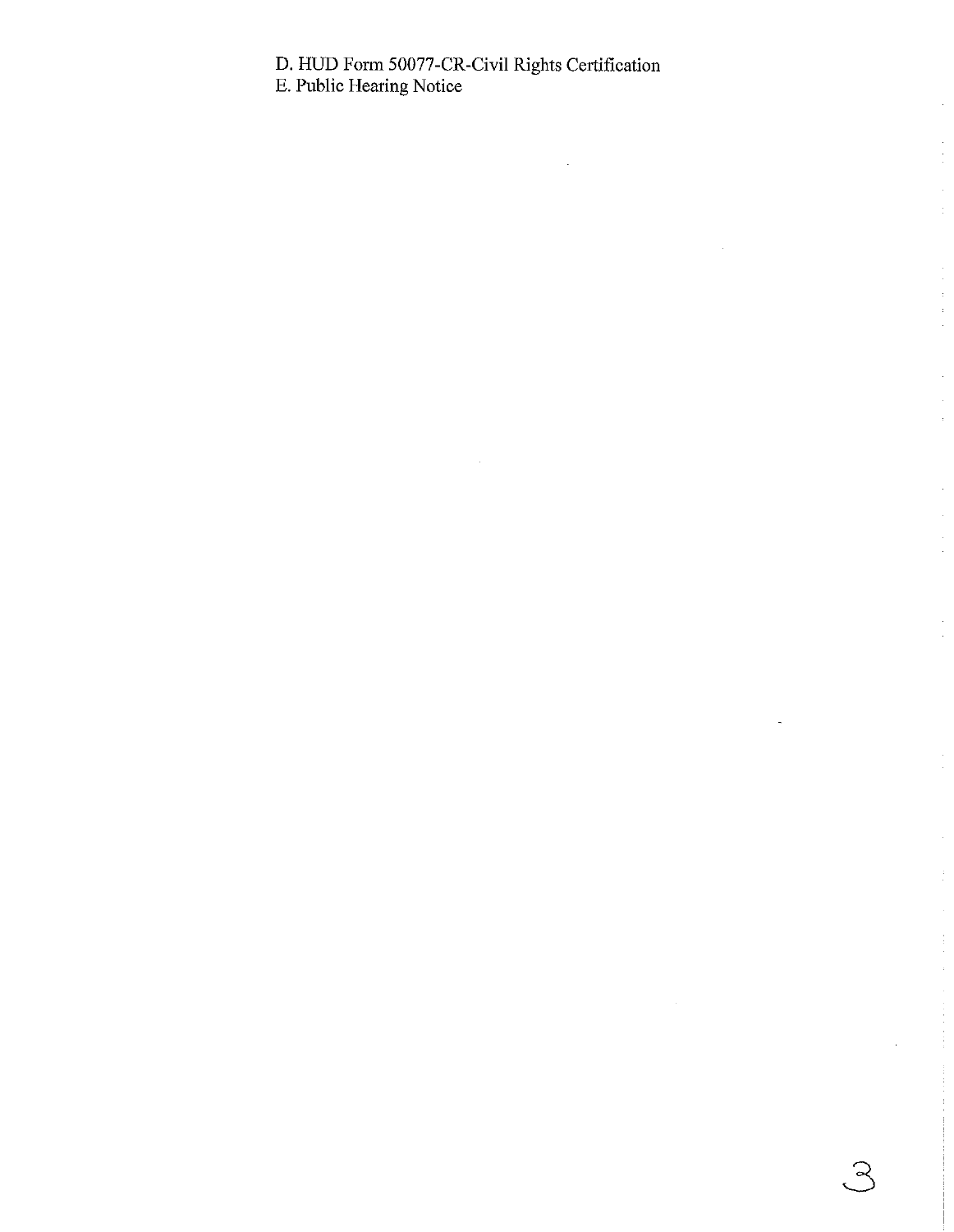#### D. HUD Form 50077-CR-Civil Rights Certification

ج.<br>ب

E. Public Hearing Notice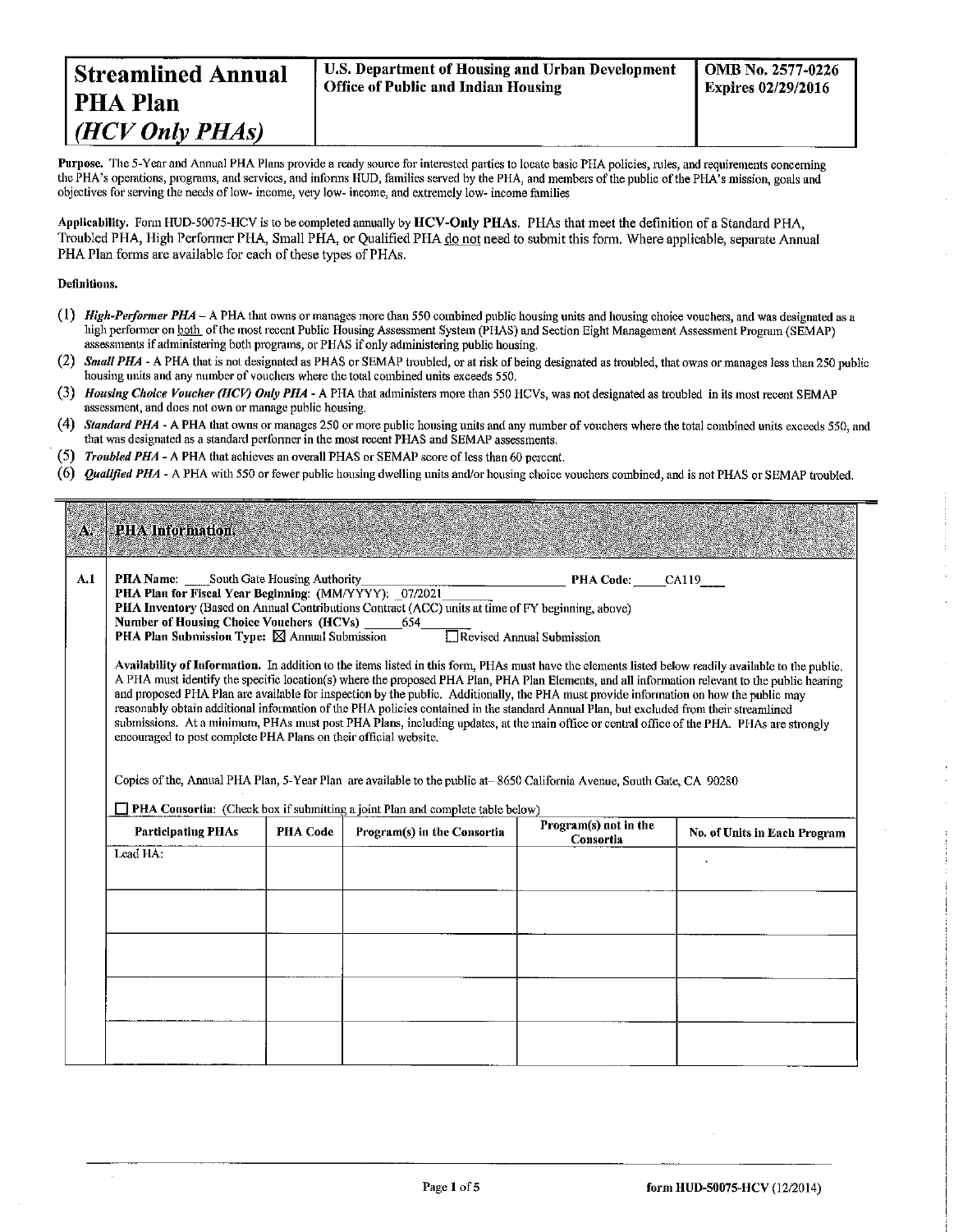Purpose. The 5-Year and Annual PHA Plans provide a ready source for interested parties to locate basic PHA policies, rules, and requirements concerning the PHA's operations, programs, and services, and informs HUD, families served by the PHA, and members of the public of the PHA's mission, goals and objectives for serving the needs of low-income, very low-income, and extremely low-income families

Applicability. Form HUD-50075-HCV is to be completed annually by HCV-Only PHAs. PHAs that meet the definition of a Standard PHA. Troubled PHA, High Performer PHA, Small PHA, or Qualified PHA do not need to submit this form, Where applicable, separate Annual PHA Plan forms are available for each of these types of PHAs.

#### Definitions.

- (1) High-Performer PHA A PHA that owns or manages more than 550 combined public housing units and housing choice vouchers, and was designated as a high performer on both of the most recent Public Housing Assessment System (PHAS) and Section Eight Management Assessment Program (SEMAP) assessments if administering both programs, or PHAS if only administering public housing.
- (2) Small PHA A PHA that is not designated as PHAS or SEMAP troubled, or at risk of being designated as troubled, that owns or manages less than 250 public housing units and any number of vouchers where the total combined units exceeds 550.
- (3) Housing Choice Voucher (HCV) Only PHA A PHA that administers more than 550 HCVs, was not designated as troubled in its most recent SEMAP assessment, and does not own or manage public housing.
- (4) Standard PHA A PHA that owns or manages 250 or more public housing units and any number of vouchers where the total combined units exceeds 550, and that was designated as a standard performer in the most recent PHAS and SEMAP assessments.
- (5) Troubled PHA A PHA that achieves an overall PHAS or SEMAP score of less than 60 percent.
- (6) *Qualified PHA* A PHA with 550 or fewer public housing dwelling units and/or housing choice vouchers combined, and is not PHAS or SEMAP troubled.

#### × **PHA Information**

 $A, I$ **PHA Name:** South Gate Housing Authority PHA Plan for Fiscal Year Beginning: (MM/YYYY): 07/2021

|  | <b>PHA Code:</b> | CA119 |  |
|--|------------------|-------|--|
|  |                  |       |  |

PHA Inventory (Based on Annual Contributions Contract (ACC) units at time of FY beginning, above) **Number of Housing Choice Vouchers (HCVs)** 654 **PHA Plan Submission Type:**  $\boxtimes$  Annual Submission Revised Annual Submission

Availability of Information. In addition to the items listed in this form, PHAs must have the elements listed below readily available to the public. A PHA must identify the specific location(s) where the proposed PHA Plan, PHA Plan Elements, and all information relevant to the public hearing and proposed PHA Plan are available for inspection by the public. Additionally, the PHA must provide information on how the public may reasonably obtain additional information of the PHA policies contained in the standard Annual Plan, but excluded from their streamlined submissions. At a minimum, PHAs must post PHA Plans, including updates, at the main office or central office of the PHA. PHAs are strongly encouraged to post complete PHA Plans on their official website.

Copies of the, Annual PHA Plan, 5-Year Plan are available to the public at -8650 California Avenue, South Gate, CA 90280

□ PHA Consortia: (Check box if submitting a joint Plan and complete table below)

| <b>Participating PHAs</b> | <b>PHA Code</b> | Program(s) in the Consortia | Program(s) not in the<br>Consortia | No. of Units in Each Program |
|---------------------------|-----------------|-----------------------------|------------------------------------|------------------------------|
| Lead HA:                  |                 |                             |                                    | $\cdot$                      |
|                           |                 |                             |                                    |                              |
|                           |                 |                             |                                    |                              |
|                           |                 |                             |                                    |                              |
|                           |                 |                             |                                    |                              |
|                           |                 |                             |                                    |                              |
|                           |                 |                             |                                    |                              |
|                           |                 |                             |                                    |                              |
|                           |                 |                             |                                    |                              |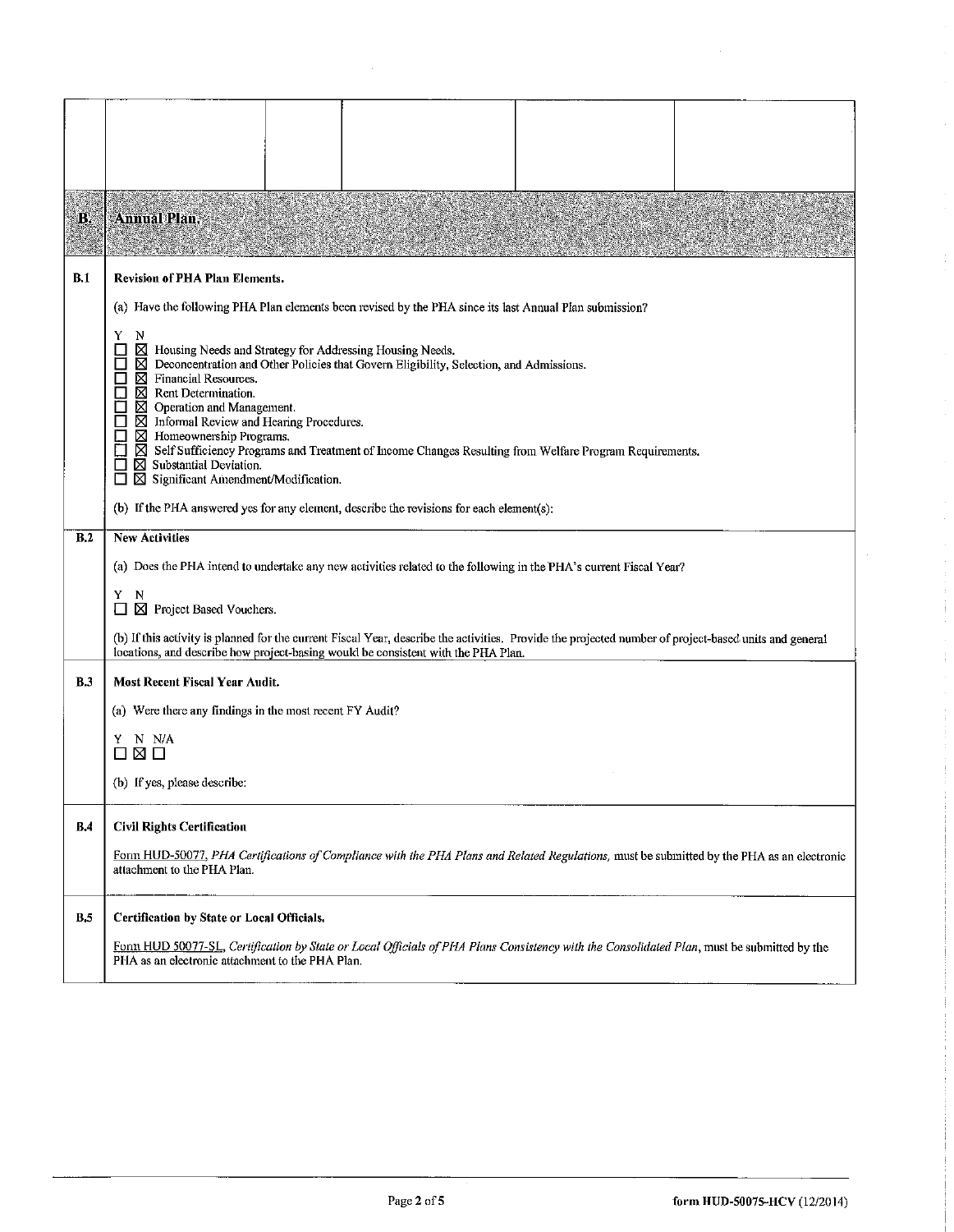| B,         | <b>Annual Plan.</b>                                                                                                                                                                                                                                                                                                                                                                                                                                                                                                                                                                                                                 |
|------------|-------------------------------------------------------------------------------------------------------------------------------------------------------------------------------------------------------------------------------------------------------------------------------------------------------------------------------------------------------------------------------------------------------------------------------------------------------------------------------------------------------------------------------------------------------------------------------------------------------------------------------------|
| B.1        | <b>Revision of PHA Plan Elements.</b>                                                                                                                                                                                                                                                                                                                                                                                                                                                                                                                                                                                               |
|            | (a) Have the following PHA Plan elements been revised by the PHA since its last Annual Plan submission?                                                                                                                                                                                                                                                                                                                                                                                                                                                                                                                             |
|            | Y<br>N<br>⊠<br>$\Box$<br>Housing Needs and Strategy for Addressing Housing Needs.<br>П<br>⊠⊠<br>Deconcentration and Other Policies that Govern Eligibility, Selection, and Admissions.<br>$\Box$<br>Financial Resources.<br>⊠<br>Rent Determination.<br>$\boxtimes$ Operation and Management.<br>П<br>$\boxtimes$ Informal Review and Hearing Procedures.<br>$\Box$<br>$\boxtimes$ Homeownership Programs.<br>□<br>⊠ Self Sufficiency Programs and Treatment of Income Changes Resulting from Welfare Program Requirements.<br>$\boxtimes$ Substantial Deviation.<br>$\Box$<br>$\boxtimes$ Significant Amendment/Modification.<br>П |
|            | (b) If the PHA answered yes for any element, describe the revisions for each element(s):                                                                                                                                                                                                                                                                                                                                                                                                                                                                                                                                            |
| B.2        | <b>New Activities</b>                                                                                                                                                                                                                                                                                                                                                                                                                                                                                                                                                                                                               |
|            | (a) Does the PHA intend to undertake any new activities related to the following in the PHA's current Fiscal Year?                                                                                                                                                                                                                                                                                                                                                                                                                                                                                                                  |
|            | Y<br>N<br>⊠ Project Based Vouchers.<br>$\mathbf{l}$                                                                                                                                                                                                                                                                                                                                                                                                                                                                                                                                                                                 |
|            | (b) If this activity is planned for the current Fiscal Year, describe the activities. Provide the projected number of project-based units and general<br>locations, and describe how project-basing would be consistent with the PHA Plan.                                                                                                                                                                                                                                                                                                                                                                                          |
| <b>B</b> 3 | Most Recent Fiscal Year Audit.                                                                                                                                                                                                                                                                                                                                                                                                                                                                                                                                                                                                      |
|            | (a) Were there any findings in the most recent FY Audit?                                                                                                                                                                                                                                                                                                                                                                                                                                                                                                                                                                            |
|            | Y N N/A<br>⊠ □                                                                                                                                                                                                                                                                                                                                                                                                                                                                                                                                                                                                                      |
|            | (b) If yes, please describe:                                                                                                                                                                                                                                                                                                                                                                                                                                                                                                                                                                                                        |
| B,4        | <b>Civil Rights Certification</b>                                                                                                                                                                                                                                                                                                                                                                                                                                                                                                                                                                                                   |
|            | Form HUD-50077, PHA Certifications of Compliance with the PHA Plans and Related Regulations, must be submitted by the PHA as an electronic<br>attachment to the PHA Plan.                                                                                                                                                                                                                                                                                                                                                                                                                                                           |
| <b>B.5</b> | Certification by State or Local Officials.                                                                                                                                                                                                                                                                                                                                                                                                                                                                                                                                                                                          |
|            | Form HUD 50077-SL, Certification by State or Local Officials of PHA Plans Consistency with the Consolidated Plan, must be submitted by the<br>PHA as an electronic attachment to the PHA Plan.                                                                                                                                                                                                                                                                                                                                                                                                                                      |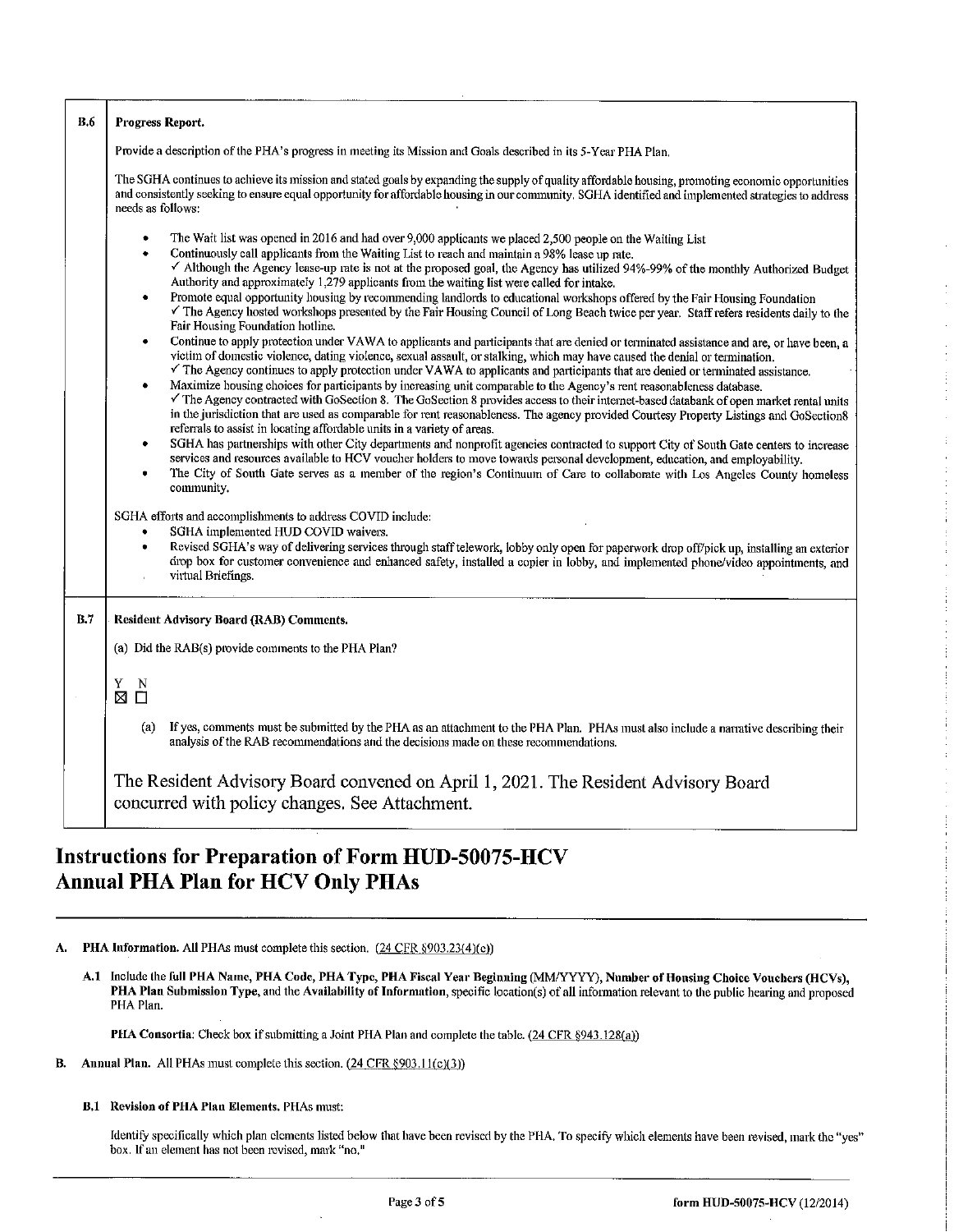| <b>B.6</b> | Progress Report.                                                                                                                                                                                                                                                                                                                                                                                                                                                                                                                                                                                                                                                                                                                                                                                                                                                                                                                                                                                                                                                                                                                                                                                                                                                                                                                                                                                                                                                                                                                                                                                                                                                                                                                                                                                                                                                                                                                                                                                                                                                                                                                                                                                                                                                                                                                                                                                                                                                                                |
|------------|-------------------------------------------------------------------------------------------------------------------------------------------------------------------------------------------------------------------------------------------------------------------------------------------------------------------------------------------------------------------------------------------------------------------------------------------------------------------------------------------------------------------------------------------------------------------------------------------------------------------------------------------------------------------------------------------------------------------------------------------------------------------------------------------------------------------------------------------------------------------------------------------------------------------------------------------------------------------------------------------------------------------------------------------------------------------------------------------------------------------------------------------------------------------------------------------------------------------------------------------------------------------------------------------------------------------------------------------------------------------------------------------------------------------------------------------------------------------------------------------------------------------------------------------------------------------------------------------------------------------------------------------------------------------------------------------------------------------------------------------------------------------------------------------------------------------------------------------------------------------------------------------------------------------------------------------------------------------------------------------------------------------------------------------------------------------------------------------------------------------------------------------------------------------------------------------------------------------------------------------------------------------------------------------------------------------------------------------------------------------------------------------------------------------------------------------------------------------------------------------------|
|            | Provide a description of the PHA's progress in meeting its Mission and Goals described in its 5-Year PHA Plan,                                                                                                                                                                                                                                                                                                                                                                                                                                                                                                                                                                                                                                                                                                                                                                                                                                                                                                                                                                                                                                                                                                                                                                                                                                                                                                                                                                                                                                                                                                                                                                                                                                                                                                                                                                                                                                                                                                                                                                                                                                                                                                                                                                                                                                                                                                                                                                                  |
|            | The SGHA continues to achieve its mission and stated goals by expanding the supply of quality affordable housing, promoting economic opportunities<br>and consistently seeking to ensure equal opportunity for affordable housing in our community. SGHA identified and implemented strategies to address<br>needs as follows:                                                                                                                                                                                                                                                                                                                                                                                                                                                                                                                                                                                                                                                                                                                                                                                                                                                                                                                                                                                                                                                                                                                                                                                                                                                                                                                                                                                                                                                                                                                                                                                                                                                                                                                                                                                                                                                                                                                                                                                                                                                                                                                                                                  |
|            | The Wait list was opened in 2016 and had over 9,000 applicants we placed 2,500 people on the Waiting List<br>Continuously call applicants from the Waiting List to reach and maintain a 98% lease up rate.<br>$\bullet$<br>√ Although the Agency lease-up rate is not at the proposed goal, the Agency has utilized 94%-99% of the monthly Authorized Budget<br>Authority and approximately 1,279 applicants from the waiting list were called for intake.<br>Promote equal opportunity housing by recommending landlords to educational workshops offered by the Fair Housing Foundation<br>The Agency hosted workshops presented by the Fair Housing Council of Long Beach twice per year. Staff refers residents daily to the<br>Fair Housing Foundation hotline.<br>Continue to apply protection under VAWA to applicants and participants that are denied or terminated assistance and are, or have been, a<br>victim of domestic violence, dating violence, sexual assault, or stalking, which may have caused the denial or termination.<br>The Agency continues to apply protection under VAWA to applicants and participants that are denied or terminated assistance.<br>Maximize housing choices for participants by increasing unit comparable to the Agency's rent reasonableness database.<br>٠<br>The Agency contracted with GoSection 8. The GoSection 8 provides access to their internet-based databank of open market rental units<br>in the jurisdiction that are used as comparable for rent reasonableness. The agency provided Courtesy Property Listings and GoSection8<br>referrals to assist in locating affordable units in a variety of areas.<br>SGHA has partnerships with other City departments and nonprofit agencies contracted to support City of South Gate centers to increase<br>٠<br>services and resources available to HCV voucher holders to move towards personal development, education, and employability.<br>The City of South Gate serves as a member of the region's Continuum of Care to collaborate with Los Angeles County homeless<br>community.<br>SGHA efforts and accomplishments to address COVID include:<br>SGHA implemented HUD COVID waivers.<br>Revised SGHA's way of delivering services through staff telework, lobby only open for paperwork drop off/pick up, installing an exterior<br>٠<br>drop box for customer convenience and enhanced safety, installed a copier in lobby, and implemented phone/video appointments, and |
|            | virtual Briefings.                                                                                                                                                                                                                                                                                                                                                                                                                                                                                                                                                                                                                                                                                                                                                                                                                                                                                                                                                                                                                                                                                                                                                                                                                                                                                                                                                                                                                                                                                                                                                                                                                                                                                                                                                                                                                                                                                                                                                                                                                                                                                                                                                                                                                                                                                                                                                                                                                                                                              |
| B.7        | <b>Resident Advisory Board (RAB) Comments.</b>                                                                                                                                                                                                                                                                                                                                                                                                                                                                                                                                                                                                                                                                                                                                                                                                                                                                                                                                                                                                                                                                                                                                                                                                                                                                                                                                                                                                                                                                                                                                                                                                                                                                                                                                                                                                                                                                                                                                                                                                                                                                                                                                                                                                                                                                                                                                                                                                                                                  |
|            | (a) Did the RAB(s) provide comments to the PHA Plan?                                                                                                                                                                                                                                                                                                                                                                                                                                                                                                                                                                                                                                                                                                                                                                                                                                                                                                                                                                                                                                                                                                                                                                                                                                                                                                                                                                                                                                                                                                                                                                                                                                                                                                                                                                                                                                                                                                                                                                                                                                                                                                                                                                                                                                                                                                                                                                                                                                            |
|            | Y<br>$\overline{\Pi}^N$<br>X                                                                                                                                                                                                                                                                                                                                                                                                                                                                                                                                                                                                                                                                                                                                                                                                                                                                                                                                                                                                                                                                                                                                                                                                                                                                                                                                                                                                                                                                                                                                                                                                                                                                                                                                                                                                                                                                                                                                                                                                                                                                                                                                                                                                                                                                                                                                                                                                                                                                    |
|            | If yes, comments must be submitted by the PHA as an attachment to the PHA Plan. PHAs must also include a narrative describing their<br>(a)<br>analysis of the RAB recommendations and the decisions made on these recommendations.                                                                                                                                                                                                                                                                                                                                                                                                                                                                                                                                                                                                                                                                                                                                                                                                                                                                                                                                                                                                                                                                                                                                                                                                                                                                                                                                                                                                                                                                                                                                                                                                                                                                                                                                                                                                                                                                                                                                                                                                                                                                                                                                                                                                                                                              |
|            | The Resident Advisory Board convened on April 1, 2021. The Resident Advisory Board<br>concurred with policy changes. See Attachment.                                                                                                                                                                                                                                                                                                                                                                                                                                                                                                                                                                                                                                                                                                                                                                                                                                                                                                                                                                                                                                                                                                                                                                                                                                                                                                                                                                                                                                                                                                                                                                                                                                                                                                                                                                                                                                                                                                                                                                                                                                                                                                                                                                                                                                                                                                                                                            |

## Instructions for Preparation of Form HUD-50075-HCV Annual PHA Plan for HCV Only PHAs

A. PHA Information. All PHAs must complete this section. (24 CFR §903.23(4)(c))

A.I Include the full PHA Name, PHA Code, PHA Type, PHA Fiscal Year Beginning (MM/YYYY), Number of Housing Choice Voucliers (HCVs), PHA Plan Submission Type, and the Availability of Information, specific location(s) of all information relevant to the public hearing and proposed PHA Plan.

PHA Consortia: Check box if submitting a Joint PHA Plan and complete the table. (24 CFR §943.128(a))

- **B.** Annual Plan. All PHAs must complete this section.  $(24 \text{ CFR } §903.11(c)(3))$ 
	- B.1 Revision of PHA Plan Elements. PHAs must:

Identify specifically which plan elements listed below that have been revised by the PHA. To specify which elements have been revised, mark the "yes" box. If an element has not been revised, mark "no."

Ĵ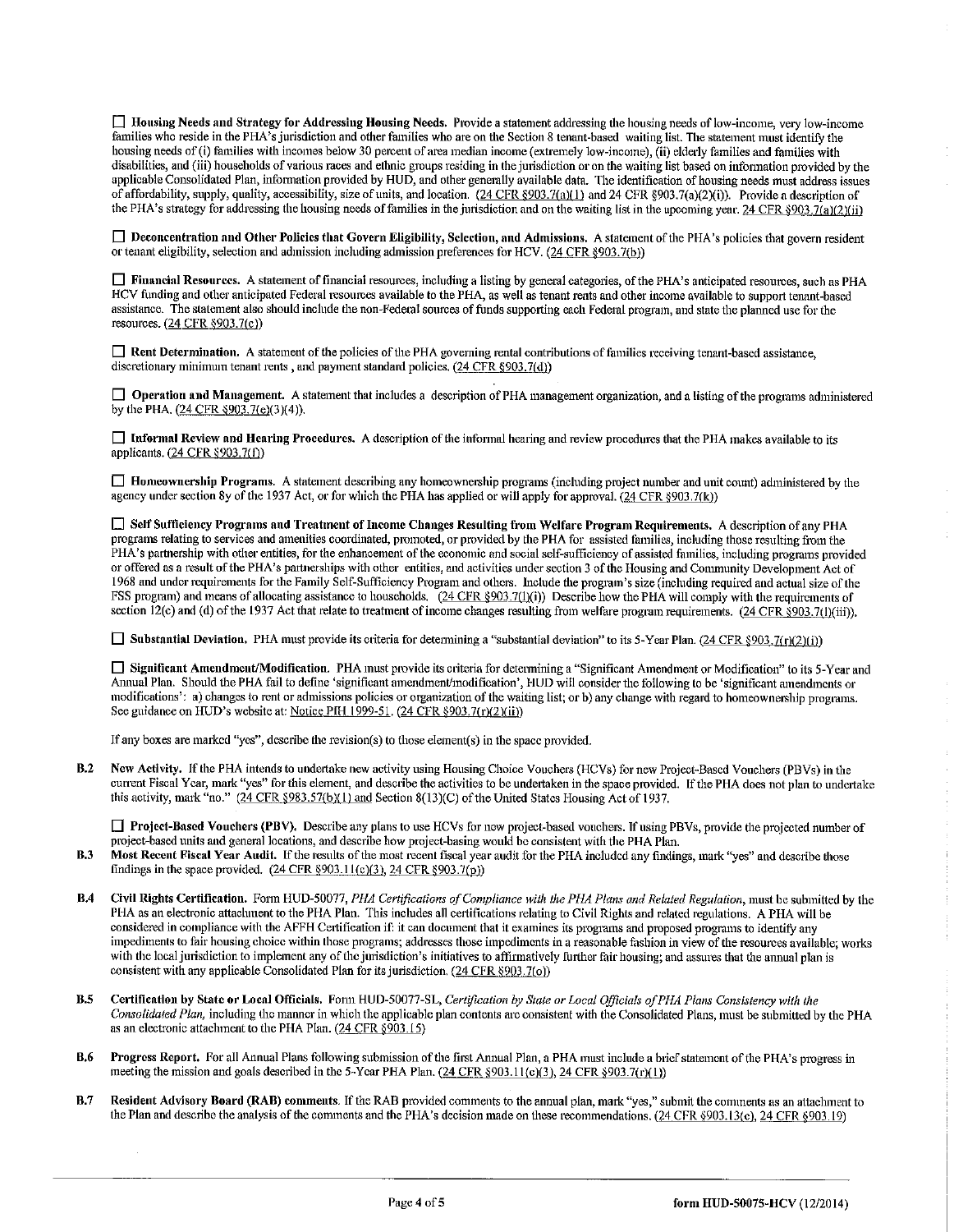$\Box$  Housing Needs and Strategy for Addressing Housing Needs. Provide a statement addressing the housing needs of low-income, very low-income families who reside in the PHA's jurisdiction and other families who are on the Section 8 tenant-based waiting list. The statement must identify the housing needs of (i) families with incomes below 30 percent of area median income (extremely low-income), (ii) elderly families and families with disabilities, and (iii) households of various races and ethnic groups residing in the jurisdiction or on the waiting list based on information provided by the applicable Consolidated Plan, information provided by HUD, and other generally available data. The identification of housing needs must address issues of affordability, supply, quality, accessibility, size of units, and location.  $(24 \text{ CFR } \text{$903.7(a)(1)}$  and  $24 \text{ CFR } \text{$903.7(a)(2)(i))}$ . Provide a description of the PHA's strategy for addressing the housing needs of families in the jurisdiction and on the waiting list in the upcoming year. 24 CFR §903.7(a)(2)(ii)

□ Deconcentration and Other Policies that Govern Eligibility, Selection, and Admissions. A statement of the PHA's policies that govern resident or tenant eligibility, selection and adinission including adinission preferences for HCV. (24 CFR §903. 7(b ))

□ Financial Resources. A statement of financial resources, including a listing by general categories, of the PHA's anticipated resources, such as PHA HCV funding and other anticipated Federal resources available to the PHA, as well as tenant rents and other income available to support tenant-based assistance. The statement also should include the non-Federal sources of funds supporting each Federal program, and state the planned use for the resources. (24 CFR §903.7(c))

 $\Box$  Rent Determination. A statement of the policies of the PHA governing rental contributions of families receiving tenant-based assistance, discretionary minimum tenant rents, and payment standard policies. (24 CFR §903.7(d))

 $\Box$  Operation and Management. A statement that includes a description of PHA management organization, and a listing of the programs administered by the PHA.  $(24 \text{ CFR } $903.7(e)(3)(4))$ .

 $\Box$  Informal Review and Hearing Procedures. A description of the informal hearing and review procedures that the PHA makes available to its applicants. (24 CFR §903.7(f))

 $\Box$  Homeownership Programs. A statement describing any homeownership programs (including project number and unit count) administered by the agency under section 8y of the 1937 Act, or for which the PHA has applied or will apply for approval.  $(24 \text{ CFR } \text{S}903.7(k))$ 

0 Self Sufficiency Programs and Treatment of Income Clianges Resulting from Welfare Program Requirements. A desciiption of any PHA programs relating to services and amenities coordinated, promoted, or provided by the PHA for assisted families, including those resulting from the PHA's partnership with other entities, for the enhancement of the economic and social self-sufficiency of assisted families, including programs provided or offered as a result of the PHA's partnerships with other entities, and activities under section 3 of the Housing and Community Development Act of 1968 and under requirements for the Family Self-Sufficiency Program and others. Include the program's size (including required and actual size of the FSS program) and means of allocating assistance to households.  $(24 \text{ CFR} \text{)},\frac{903.7(1)(i)}{2}$  Describe how the PHA will comply with the requirements of section  $12$ (c) and (d) of the 1937 Act that relate to treatment of income changes resulting from welfare program requirements.  $(24 \text{ CFR} \text{ s}903.7(1)(iii))$ .

**[**] Substantial Deviation. PHA must provide its criteria for determining a "substantial deviation" to its 5-Year Plan. (24 CFR §903.7(r)(2)(i))

[1 Significant Amendment/Modtfication. PHA inust provide its criteiia for detennining a"Significant Ainendment or Modification" to its 5-Year and Annual Plan. Should the PHA fail to define 'significant amendment/modification', HUD will consider the following to be 'significant amendments or modifications': a) changes to rent or admissions policies or organization of the waiting list; or b) any change with regard to homeownership programs. See guidance on HUD's website at: Notice PIH 1999-51.  $(24 \text{ CFR } \frac{8903.7(r)(2)(ii)}{i})$ 

If any boxes are marked "yes", describe the revision(s) to those element(s) in the space provided.

B.2 New Activity. If the PHA intends to undertake new activity using Housing Choice Vouchers (HCVs) for new Project-Based Vouchers (PBVs) in the current Fiscal Year, mark "yes" for this element, and describe the activities to be undertaken in the space provided. If the PHA does not plan to undertake this activity, mark "no."  $(24 \text{ CFR} \text{ } $983.57(b)(1)$  and Section 8(13)(C) of the United States Housing Act of 1937.

 $\Box$  Project-Based Vouchers (PBV). Describe any plans to use HCVs for new project-based vouchers. If using PBVs, provide the projected number of project-based units and general locations, and describe how project-basing would be consistent with the PHA Plan.

- B.3 Most Recent Fiscal Year Audit. If the results of the most recent fiscal year audit for the PHA included any findings, mark "yes" and describe those findings in the space provided.  $(24 \text{ CFR } \S 903.11 \text{ (c)}(3), 24 \text{ CFR } \S 903.7 \text{ (p)})$
- B.4 Civil Rights Certification. Form HUD-50077, PHA Certifications of Compliance with the PHA Plans and Related Regulation, must be submitted by the PHA as an electronic attachment to the PHA Plan. This includes all certifications relating to Civil Rights and related regulations. A PHA will be considered in compliance with the AFFH Certification if: it can document that it examines its programs and proposed programs to identify any impediments to fair housing choice within those programs; addresses those impediments in a reasonable fashion in view of the resources available; works with the local jurisdiction to implement any of the jurisdiction's initiatives to affirmatively further fair housing; and assures that the annual plan is consistent with any applicable Consolidated Plan for its jurisdiction.  $(24 \text{ CFR} \text{ } \$903.7(0))$
- B.5 Certification by State or Local Officials. Form HUD-50077-SL, Certification by State or Local Officials of PHA Plans Consistency with the Consolidated Plan, including the manner in which the applicable plan contents are consistent with the Consolidated Plans, must be submitted by the PHA as an electronic attachment to the PHA Plan.  $(24 \text{ CFR } \frac{1}{2})$
- B.6 Progress Report. For all Annual Plans following submission of the first Annual Plan, a PHA must include a brief statement of the PHA's progress in meeting the mission and goals described in the 5-Year PHA Plan. (24 CFR §903.11(c)(3), 24 CFR §903.7(r)(1))
- B.7 Resident Advisory Board (RAB) comments. If the RAB provided comments to the annual plan, mark "yes," submit the comments as an attachment to the Plan and describe the analysis of the comments and the PHA's decision made on these recommendations. (24 CFR §903.13(c), 24 CFR §903.19)

t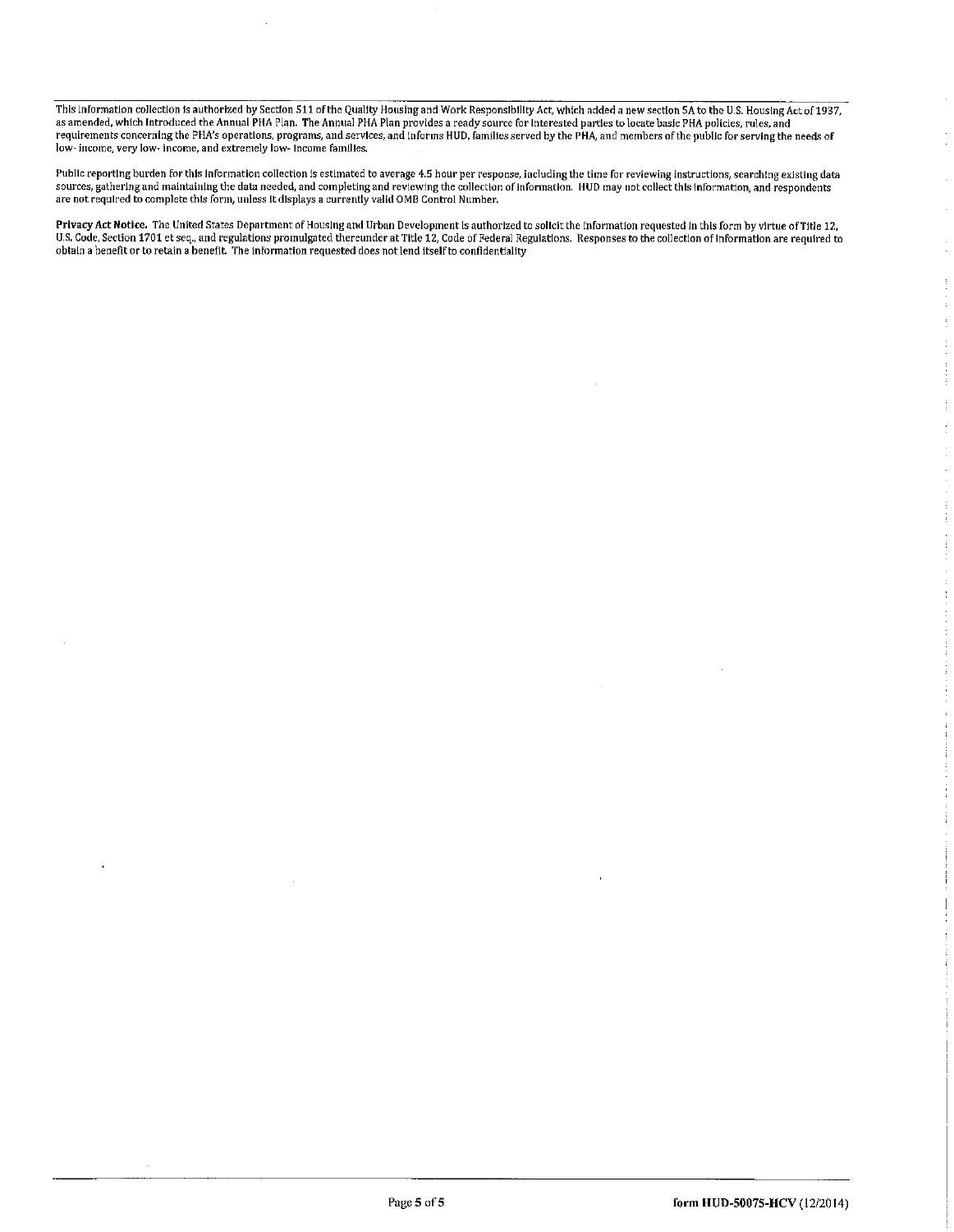This tnformation collection ts authorized by Section 511 of the Quality Housing and Work Responsibility Act, which added a new section 5A to the u.s. Housing Act of 1937, as amended, which introduced the Annual PHA Plan. The Annual PHA Plan provides a ready source for interested parties to locate basic PHA policies, rules, and requirements concerning the PHA's operations, programs, and services, and informs HUD, families served by the PHA, and members of the public for serving the needs o low- income, verylow- income, and extremely low- income families.

Public reporting burden for this information collection is estimated to average 4.5 hour per response, including the time for reviewing instructions. searching existing data sources, gathering and maintaining the data needed, and completing and reviewing the collection of information. HUD may not collect this information, and responder<br>are not required to complete this form, unless it displays

Privacy Act Notice. The United States Department of Housing and Urban Development is authorized to solicit the information requested in this form by virtue of Title 12, u.s.Code, Section 1701 et seq., and regulations promulgated thereunder at Title 12, Code of Federal Regulations. Responses to the collection orinformation are required to obtain a benefit or to retain a benefit. The information requested does not lend itself to confidentiality

 $\frac{1}{2}$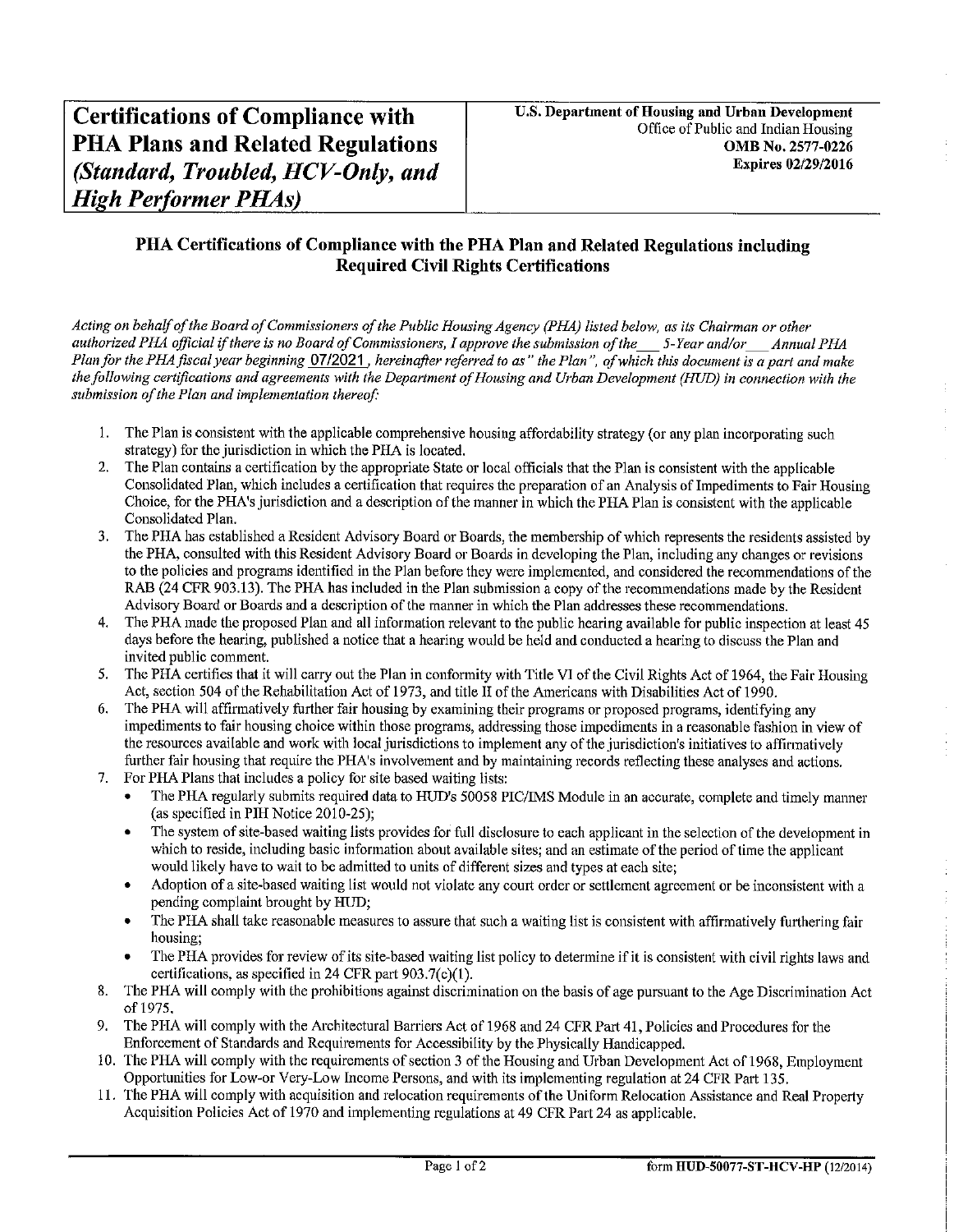#### PHA Certifications of Compliance with the PHA Plan and Related Regulations including Required Civil Rights Certifications

Acting on behalf of the Board of Commissioners of the Public Housing Agency (PHA) listed below, as its Chairman or other authorized PHA official if there is no Board of Commissioners, I approve the submission of the 5-Year and/or Annual PHA Plan for the PHA fiscal year beginning  $07/2021$ , hereinafter referred to as" the Plan", of which this document is a part and make the following certifications and agreements with the Department of Housing and Urban Development (HUD) in connection with the submission of the Plan and implementation thereof:

- 1. The Plan is consistent with the applicable comprehensive housing affordability strategy (or any plan incorporating such strategy) for the jurisdiction in which the PHA is located.
- 2. The Plan contains a certification by the appropriate State or local officials that the Plan is consistent with the applicable Consolidated Plan, which includes a certification that requires the preparation of an Analysis of Impediments to Fair Housing Choice, for the PHA's jurisdiction and a description of the manner in which the PHA Plan is consistent with the applicable Consolidated Plan.
- 3. The PHA has established a Resident Advisory Board or Boards, the membership of which represents the residents assisted by the PHA, consulted with this Resident Advisory Board or Boards in developing the Plan, including any changes or revisions to the policies and programs identified in the Plan before they were implemented, and considered the recommendations of the RAB (24 CFR 903.13). The PHA has included in the Plan submission a copy of the recommendations made by the Resident Advisory Board or Boards and a description of the manner in which the Plan addresses these recommendations.
- 4. The PHA made the proposed Plan and all information relevant to the public hearing available for public inspection at least 45 days before the hearing, published a notice that a hearing would be held and conducted a hearing to discuss the Plan and invited public comment.
- 5. The PHA certifies that it will carry out the Plan in conformity with Title VI of the Civil Rights Act of 1964, the Fair Housing Act, section 504 of the Rehabilitation Act of 1973, and title II of the Americans with Disabilities Act of 1990.
- 6. The PHA will affirmatively further fair housing by examining their programs or proposed programs, identifying any impediments to fair housing choice within those programs, addressing those impediments in a reasonable fashion in view of the resources available and work with local jurisdictions to implement any of the jurisdiction's initiatives to affirmatively further fair housing that require the PHA's involvement and by maintaining records reflecting these analyses and actions.
- 7. For PHA Plans that includes a policy for site based waiting lists:
	- The PHA regularly submits required data to HUD's 50058 PIC/IMS Module in an accurate, complete and timely manner (as specified in PIH Notice 2010-25);
	- The system of site-based waiting lists provides for full disclosure to each applicant in the selection of the development in which to reside, including basic information about available sites; and an estimate of the period of time the applicant would likely have to wait to be admitted to units of different sizes and types at each site;
	- Adoption of a site-based waiting list would not violate any court order or settlement agreement or be inconsistent with a pending complaint brought by HUD;
	- The PHA shall take reasonable measures to assure that such a waiting list is consistent with affirmatively furthering fair housing;
	- The PHA provides for review of its site-based waiting list policy to determine if it is consistent with civil rights laws and certifications, as specified in 24 CFR part 903.7(c)(1).
- 8. The PHA will comply with the prohibitions against discrimination on the basis of age pursuant to the Age Discrimination Act of 1975.
- 9. The PHA will comply with the Architectural Barriers Act of 1968 and 24 CFR Part 41, Policies and Procedures for the Enforcement of Standards and Requirements for Accessibility by the Physically Handicapped.
- 10. The PHA will comply with the requirements of section 3 of the Housing and Urban Development Act of 1968, Employment Opportunities for Low-or Very-Low Income Persons, and with its implementing regulation at 24 CFR Part 135.
- 11. The PHA will comply witli acquisition and relocation requirements of the Uniform Relocation Assistance and Real Property Acquisition Policies Act of 1970 and implementing regulations at 49 CFR Part 24 as applicable.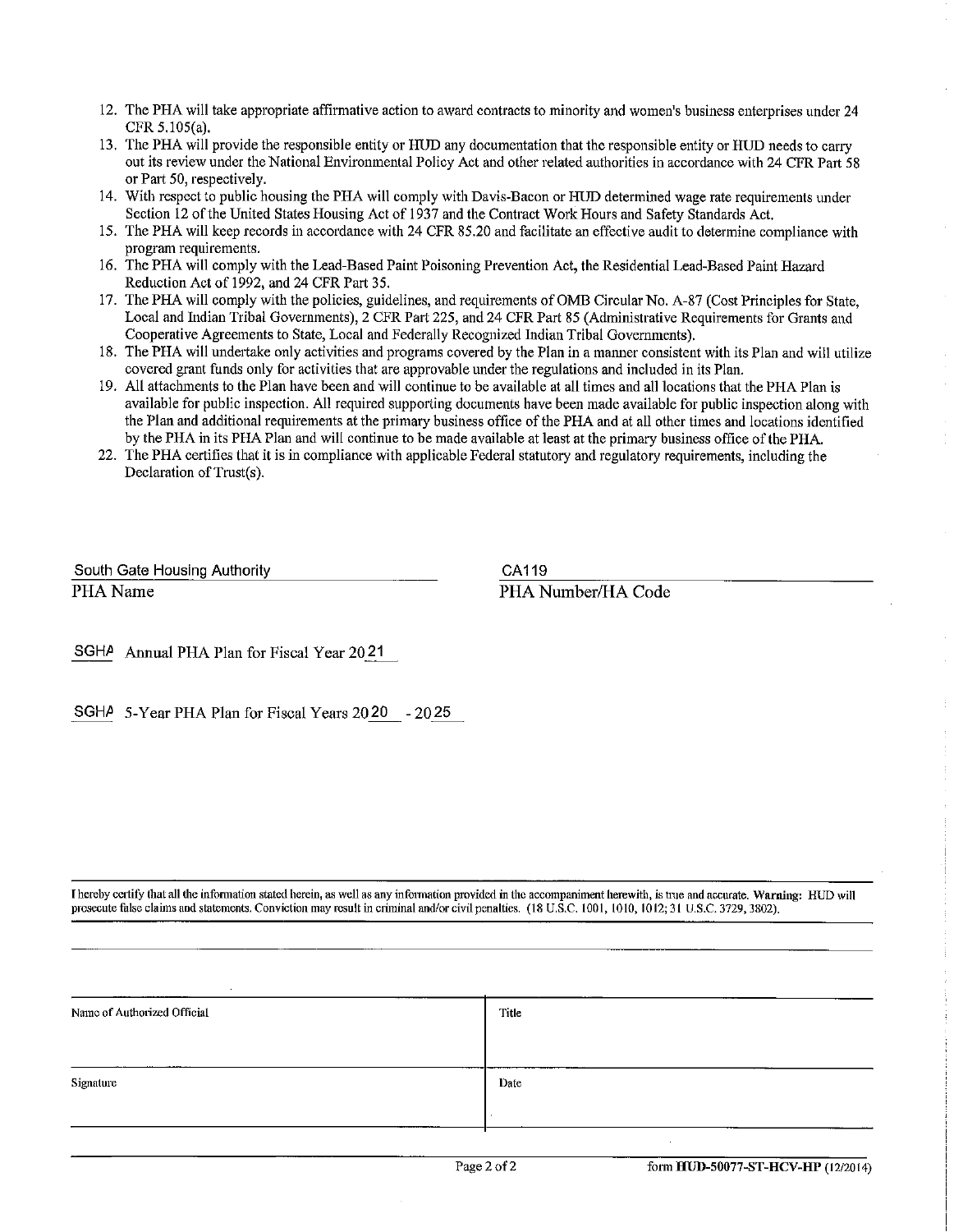- 12. The PHA will take appropriate affirmative action to award contracts to minority and women's business enterprises under 24 CFR 5.105(a).
- 13. The PHA will provide the responsible entity or HUD any documentation that the responsible entity or HUD needs to carry out its review under the National Environmental Policy Act and other related authorities in accordance with 24 CFR Part 58 or Part 50, respectively.
- 14. With respect to public housing the PHA will comply with Davis-Bacon or HUD determined wage rate requirements under Section 12 of the United States Housing Act of 1937 and the Contract Work Hours and Safety Standards Act.
- 15. The PHA will keep records in accordance with 24 CFR 85.20 and facilitate an effective audit to determine compliance with program requirements.
- 16. The PHA will comply with the Lead-Based Paint Poisoning Prevention Act, the Residential Lead-Based Paint Hazard Reduction Act of 1992, and 24 CFR Part 35.
- 17. The PHA will comply with the policies, guidelines, and requirements of OMB Circular No. A-87 (Cost Principles for State, Local and Indian Tribal Governments), 2 CFR Part 225, and 24 CFR Part 85 (Administrative Requirements for Grants and Cooperative Agreements to State, Local and Federally Recognized Indian Tribal Governments).
- 18. The PHA will undertake only activities and programs covered by the Plan in a manner consistent with its Plan and will utilize covered grant funds only for activities that are approvable under the regulations and included in its Plan.
- 19. All attachments to the Plan have been and will continue to be available at all times and all locations that the PHA Plan is available for public inspection. All required supporting documents have been made available for public inspection along with the Plan and additional requirements at the primary business office of the PHA and at all other times and locations identified by the PHA in its PHA Plan and will continue to be made available at least at the primary business office of the PHA.
- 22. The PHA certifies that it is in compliance with applicable Federal statutory and regulatory requirements, including the Declaration of Trust(s).

South Gate Housing Authority PHA Name

CA119

PHA Number/HA Code

SGHA Annual PHA Plan for Fiscal Year 20 21

SGH $\text{/}$  5-Year PHA Plan for Fiscal Years 20 20 - 20 25

I hereby certify that all the information stated herein, as well as any information provided in the accompaniment herewith, is true and accurate. Warning: HUD will prosecute false claims and statements. Conviction may result in criminal and/or civil penalties. (18 U.S.C. 1001, 1010, 1012; 31 U.S.C. 3729, 3802).

| Name of Authorized Official | Title |
|-----------------------------|-------|
| Signature                   | Date  |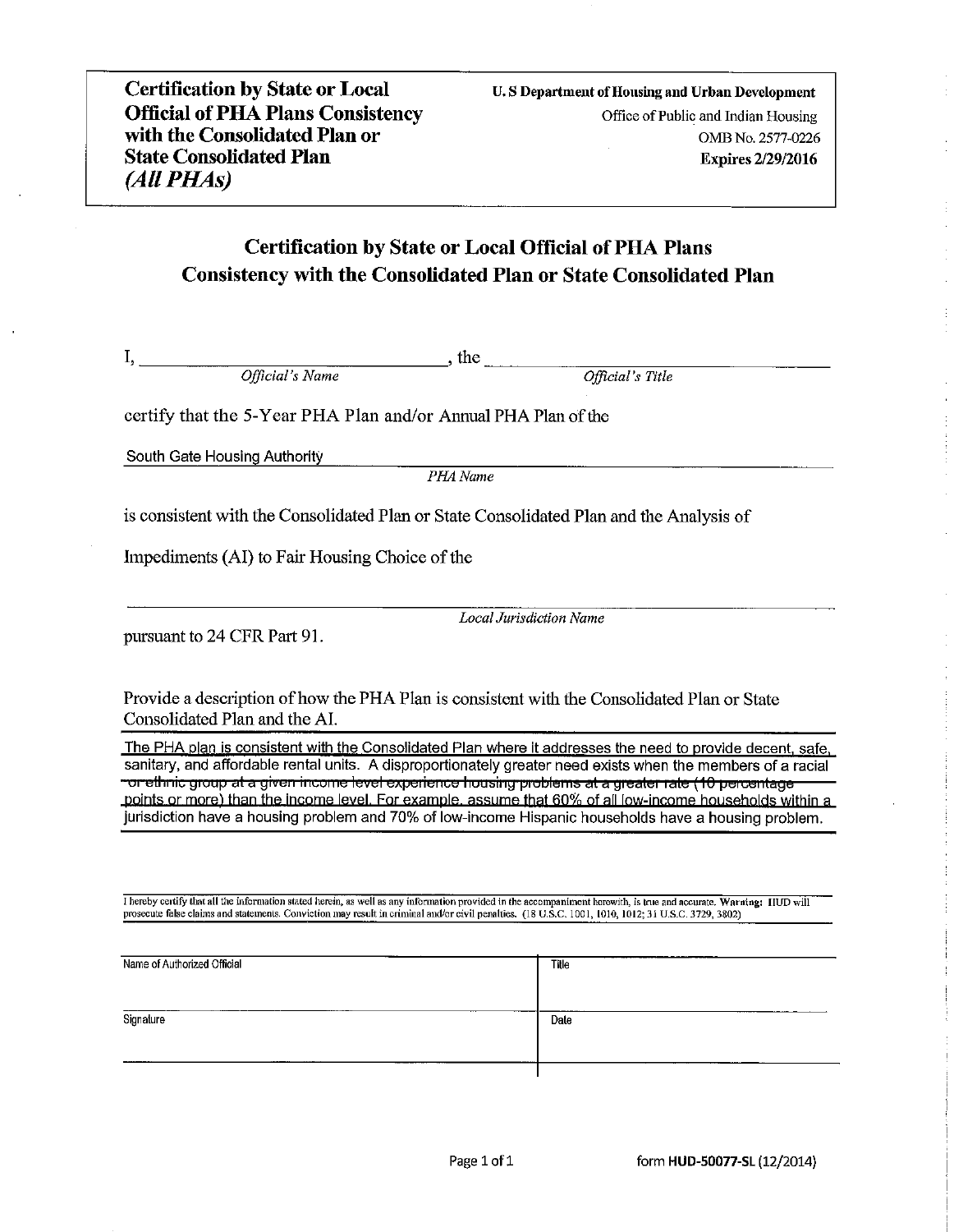## **Certification by State or Local Official of PHA Plans Consistency with the Consolidated Plan or State Consolidated Plan**

Official's Name the state of the state of the state of the state of the state of the state of the state of the state of the state of the state of the state of the state of the state of the state of the state of the state o

Official's Title

certify that the 5-Year PHA Plan and/or Annual PHA Plan of the

South Gate Housing Authority

 $I, \underline{\hspace{2cm}}$ 

PHA Name

is consistent with the Consolidated Plan or State Consolidated Plan and the Analysis of

Impediments (AI) to Fair Housing Choice of the

pursuant to 24 CFR Part 91.

**Local Jurisdiction Name** 

Provide a description of how the PHA Plan is consistent with the Consolidated Plan or State Consolidated Plan and the AI.

The PHA plan is consistent with the Consolidated Plan where it addresses the need to provide decent, safe. sanitary, and affordable rental units. A disproportionately greater need exists when the members of a racial orrethnic group at a given income level experience housing problems at a greater rate (10 percentage " points or more) than the income level. For example, assume that 60% of all low-income households within a jurisdiction have a housing problem and 70% of low-income Hispanic households have a housing problem.

I hereby certify that all the information stated herein, as well as any information provided in the accompaniment herewith, is true and accurate. Warning: IIUD will prosecute false claims and statements. Conviction may res

| Signature<br>Date | Name of Authorized Official | Title |
|-------------------|-----------------------------|-------|
|                   |                             |       |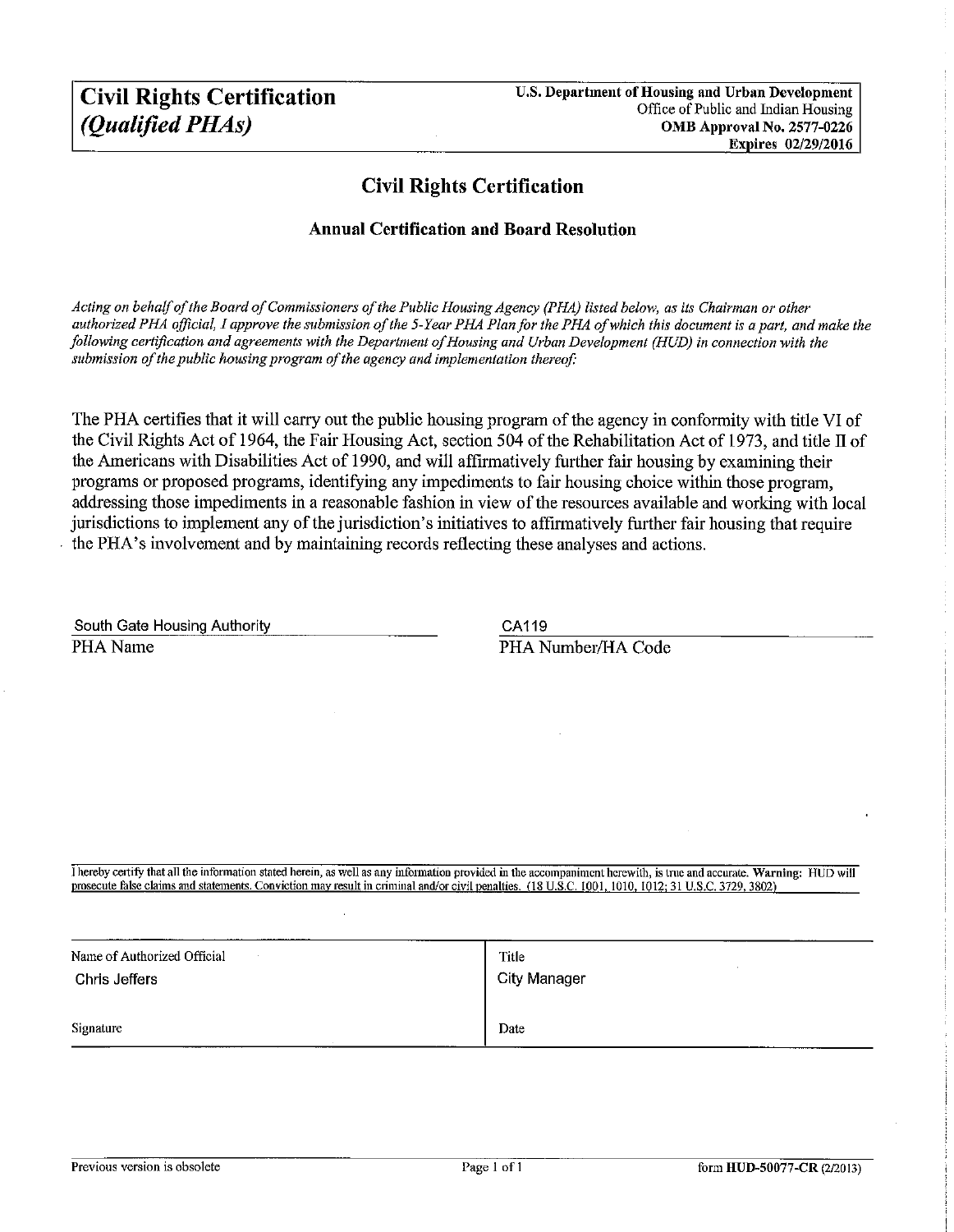## Civil Rights Certification

#### Annual Certification and Board Resolution

Acting on behalf of the Board of Commissioners of the Public Housing Agency (PHA) listed below, as its Chairman or other authorized PHA official, I approve the submission of the 5-Year PHA Plan for the PHA of which this document is a part, and make the following certification and agreements with the Department of Housing and Urban Development (HUD) in connection with the submission of the public housing program of the agency and implementation thereof:

The PHA certifies that it will carry out the public housing program of the agency in conformity with title VI of the Civil Rights Act of 1964, the Fair Housing Act, section 504 of the Rehabilitation Act of 1973, and title II of the Americans with Disabilities Act of 1990, and will affirmatively further fair housing by examining their programs or proposed programs, identifying any impediments to fair housing choice within those program, addressing those impediments in a reasonable fashion in view of the resources available and working with local jurisdictions to implement any of the jurisdiction's initiatives to affirmatively further fair housing that require the PHA's involvement and by maintaining records reflecting these analyses and actions.

| South Gate Housing Authority |  |
|------------------------------|--|
| PHA Name                     |  |

CA119 PHA Number/HA Code

I hereby certify that all the information stated herein, as well as any information provided in the accompaniment herewith, is true and accurate. Warning: HUD will prosecute false claims and statements. Conviction may result in criminal and/or civil penalties. (18 U.S.C. 1001, 1010, 1012; 31 U.S.C. 3729, 3802)

| Name of Authorized Official | Title        |
|-----------------------------|--------------|
| Chris Jeffers               | City Manager |
| Signature                   | Date         |